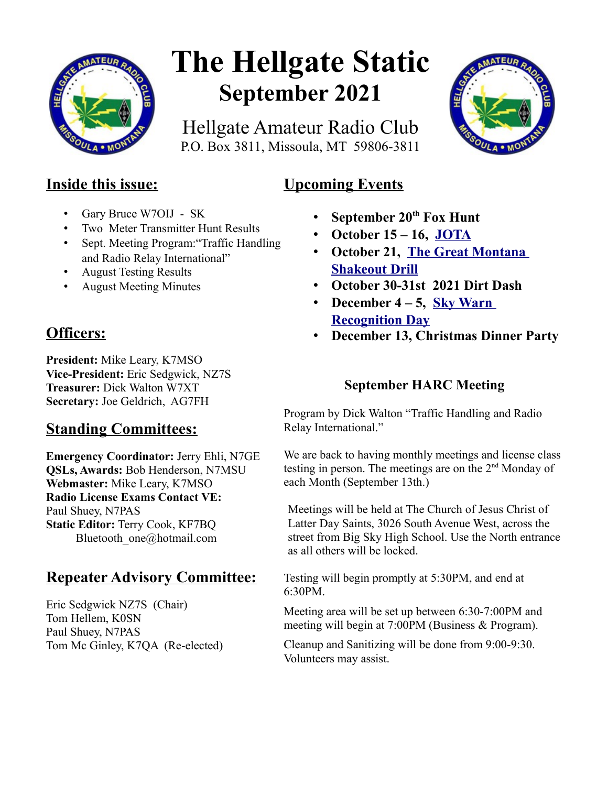

# **The Hellgate Static September 2021**

Hellgate Amateur Radio Club P.O. Box 3811, Missoula, MT 59806-3811



# **Inside this issue:**

- Gary Bruce W7OIJ SK
- Two Meter Transmitter Hunt Results
- Sept. Meeting Program:"Traffic Handling and Radio Relay International"
- August Testing Results
- August Meeting Minutes

# **Officers:**

**President:** Mike Leary, K7MSO **Vice-President:** Eric Sedgwick, NZ7S **Treasurer:** Dick Walton W7XT **Secretary:** Joe Geldrich, AG7FH

# **Standing Committees:**

**Emergency Coordinator:** Jerry Ehli, N7GE **QSLs, Awards:** Bob Henderson, N7MSU **Webmaster:** Mike Leary, K7MSO **Radio License Exams Contact VE:** Paul Shuey, N7PAS **Static Editor:** Terry Cook, KF7BQ Bluetooth one@hotmail.com

## **Repeater Advisory Committee:**

Eric Sedgwick NZ7S (Chair) Tom Hellem, K0SN Paul Shuey, N7PAS Tom Mc Ginley, K7QA (Re-elected)

- **September 20th Fox Hunt**
- **October 15 16, [JOTA](https://www.w7px.org/meetings-and-events/#jota)**
- **October 21, [The Great Montana](https://www.w7px.org/meetings-and-events/#shakeout)  [Shakeout Drill](https://www.w7px.org/meetings-and-events/#shakeout)**
- **October 30-31st 2021 Dirt Dash**
- **December 4 5, [Sky Warn](http://www.arrl.org/skywarn-recognition-day)  [Recognition Day](http://www.arrl.org/skywarn-recognition-day)**
- **December 13, Christmas Dinner Party**

## **September HARC Meeting**

Program by Dick Walton "Traffic Handling and Radio Relay International."

We are back to having monthly meetings and license class testing in person. The meetings are on the 2<sup>nd</sup> Monday of each Month (September 13th.)

Meetings will be held at The Church of Jesus Christ of Latter Day Saints, 3026 South Avenue West, across the street from Big Sky High School. Use the North entrance as all others will be locked.

Testing will begin promptly at 5:30PM, and end at 6:30PM.

Meeting area will be set up between 6:30-7:00PM and meeting will begin at 7:00PM (Business & Program).

Cleanup and Sanitizing will be done from 9:00-9:30. Volunteers may assist.

# **Upcoming Events**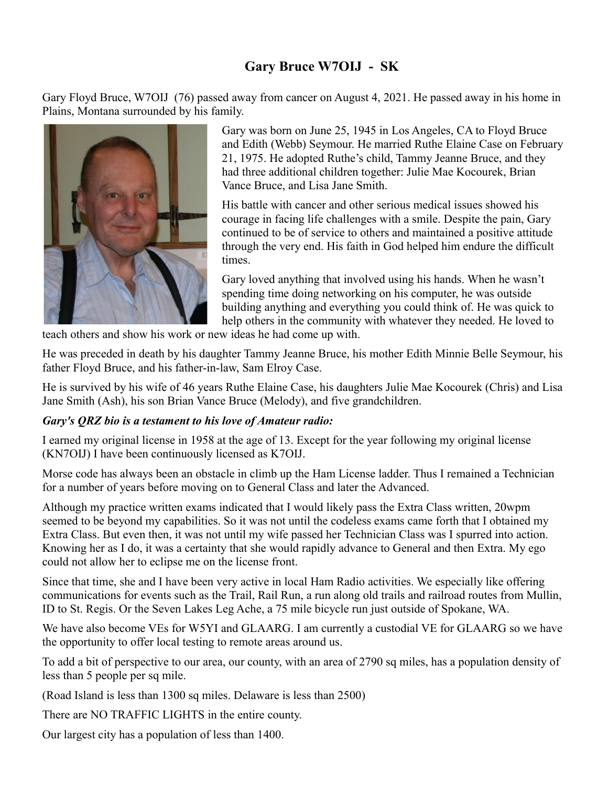## **Gary Bruce W7OIJ - SK**

Gary Floyd Bruce, W7OIJ (76) passed away from cancer on August 4, 2021. He passed away in his home in Plains, Montana surrounded by his family.



Gary was born on June 25, 1945 in Los Angeles, CA to Floyd Bruce and Edith (Webb) Seymour. He married Ruthe Elaine Case on February 21, 1975. He adopted Ruthe's child, Tammy Jeanne Bruce, and they had three additional children together: Julie Mae Kocourek, Brian Vance Bruce, and Lisa Jane Smith.

His battle with cancer and other serious medical issues showed his courage in facing life challenges with a smile. Despite the pain, Gary continued to be of service to others and maintained a positive attitude through the very end. His faith in God helped him endure the difficult times.

Gary loved anything that involved using his hands. When he wasn't spending time doing networking on his computer, he was outside building anything and everything you could think of. He was quick to help others in the community with whatever they needed. He loved to

teach others and show his work or new ideas he had come up with.

He was preceded in death by his daughter Tammy Jeanne Bruce, his mother Edith Minnie Belle Seymour, his father Floyd Bruce, and his father-in-law, Sam Elroy Case.

He is survived by his wife of 46 years Ruthe Elaine Case, his daughters Julie Mae Kocourek (Chris) and Lisa Jane Smith (Ash), his son Brian Vance Bruce (Melody), and five grandchildren.

#### *Gary's QRZ bio is a testament to his love of Amateur radio:*

I earned my original license in 1958 at the age of 13. Except for the year following my original license (KN7OIJ) I have been continuously licensed as K7OIJ.

Morse code has always been an obstacle in climb up the Ham License ladder. Thus I remained a Technician for a number of years before moving on to General Class and later the Advanced.

Although my practice written exams indicated that I would likely pass the Extra Class written, 20wpm seemed to be beyond my capabilities. So it was not until the codeless exams came forth that I obtained my Extra Class. But even then, it was not until my wife passed her Technician Class was I spurred into action. Knowing her as I do, it was a certainty that she would rapidly advance to General and then Extra. My ego could not allow her to eclipse me on the license front.

Since that time, she and I have been very active in local Ham Radio activities. We especially like offering communications for events such as the Trail, Rail Run, a run along old trails and railroad routes from Mullin, ID to St. Regis. Or the Seven Lakes Leg Ache, a 75 mile bicycle run just outside of Spokane, WA.

We have also become VEs for W5YI and GLAARG. I am currently a custodial VE for GLAARG so we have the opportunity to offer local testing to remote areas around us.

To add a bit of perspective to our area, our county, with an area of 2790 sq miles, has a population density of less than 5 people per sq mile.

(Road Island is less than 1300 sq miles. Delaware is less than 2500)

There are NO TRAFFIC LIGHTS in the entire county.

Our largest city has a population of less than 1400.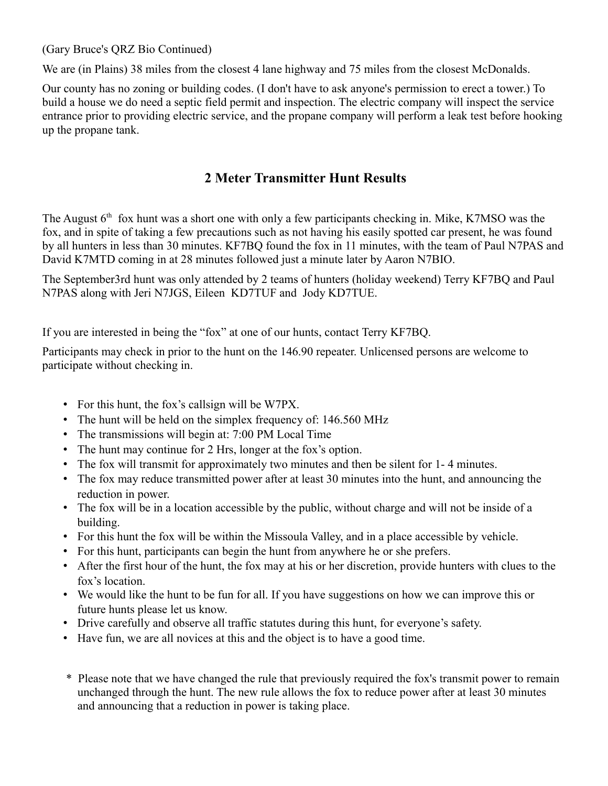(Gary Bruce's QRZ Bio Continued)

We are (in Plains) 38 miles from the closest 4 lane highway and 75 miles from the closest McDonalds.

Our county has no zoning or building codes. (I don't have to ask anyone's permission to erect a tower.) To build a house we do need a septic field permit and inspection. The electric company will inspect the service entrance prior to providing electric service, and the propane company will perform a leak test before hooking up the propane tank.

## **2 Meter Transmitter Hunt Results**

The August  $6<sup>th</sup>$  fox hunt was a short one with only a few participants checking in. Mike, K7MSO was the fox, and in spite of taking a few precautions such as not having his easily spotted car present, he was found by all hunters in less than 30 minutes. KF7BQ found the fox in 11 minutes, with the team of Paul N7PAS and David K7MTD coming in at 28 minutes followed just a minute later by Aaron N7BIO.

The September3rd hunt was only attended by 2 teams of hunters (holiday weekend) Terry KF7BQ and Paul N7PAS along with Jeri N7JGS, Eileen KD7TUF and Jody KD7TUE.

If you are interested in being the "fox" at one of our hunts, contact Terry KF7BQ.

Participants may check in prior to the hunt on the 146.90 repeater. Unlicensed persons are welcome to participate without checking in.

- For this hunt, the fox's callsign will be W7PX.
- The hunt will be held on the simplex frequency of: 146.560 MHz
- The transmissions will begin at: 7:00 PM Local Time
- The hunt may continue for 2 Hrs, longer at the fox's option.
- The fox will transmit for approximately two minutes and then be silent for 1- 4 minutes.
- The fox may reduce transmitted power after at least 30 minutes into the hunt, and announcing the reduction in power.
- The fox will be in a location accessible by the public, without charge and will not be inside of a building.
- For this hunt the fox will be within the Missoula Valley, and in a place accessible by vehicle.
- For this hunt, participants can begin the hunt from anywhere he or she prefers.
- After the first hour of the hunt, the fox may at his or her discretion, provide hunters with clues to the fox's location.
- We would like the hunt to be fun for all. If you have suggestions on how we can improve this or future hunts please let us know.
- Drive carefully and observe all traffic statutes during this hunt, for everyone's safety.
- Have fun, we are all novices at this and the object is to have a good time.
- \* Please note that we have changed the rule that previously required the fox's transmit power to remain unchanged through the hunt. The new rule allows the fox to reduce power after at least 30 minutes and announcing that a reduction in power is taking place.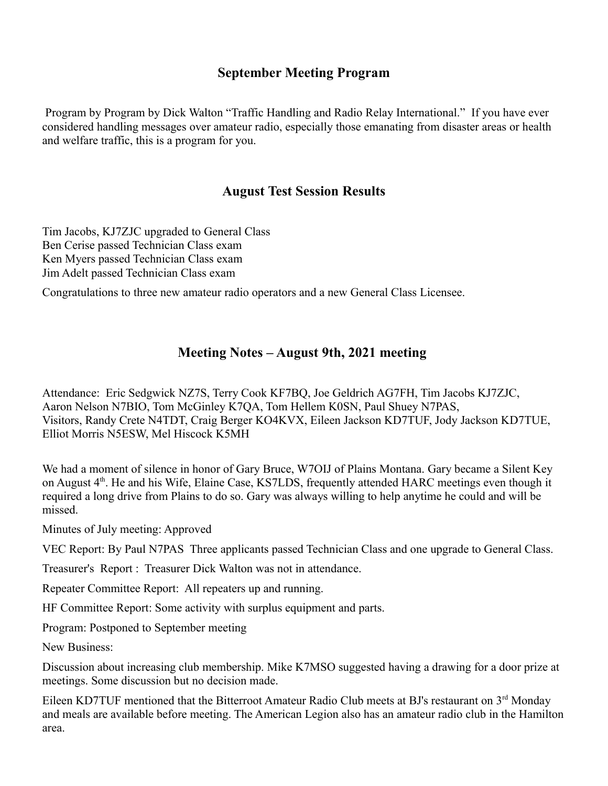## **September Meeting Program**

 Program by Program by Dick Walton "Traffic Handling and Radio Relay International." If you have ever considered handling messages over amateur radio, especially those emanating from disaster areas or health and welfare traffic, this is a program for you.

#### **August Test Session Results**

Tim Jacobs, KJ7ZJC upgraded to General Class Ben Cerise passed Technician Class exam Ken Myers passed Technician Class exam Jim Adelt passed Technician Class exam

Congratulations to three new amateur radio operators and a new General Class Licensee.

#### **Meeting Notes – August 9th, 2021 meeting**

Attendance: Eric Sedgwick NZ7S, Terry Cook KF7BQ, Joe Geldrich AG7FH, Tim Jacobs KJ7ZJC, Aaron Nelson N7BIO, Tom McGinley K7QA, Tom Hellem K0SN, Paul Shuey N7PAS, Visitors, Randy Crete N4TDT, Craig Berger KO4KVX, Eileen Jackson KD7TUF, Jody Jackson KD7TUE, Elliot Morris N5ESW, Mel Hiscock K5MH

We had a moment of silence in honor of Gary Bruce, W7OIJ of Plains Montana. Gary became a Silent Key on August 4<sup>th</sup>. He and his Wife, Elaine Case, KS7LDS, frequently attended HARC meetings even though it required a long drive from Plains to do so. Gary was always willing to help anytime he could and will be missed.

Minutes of July meeting: Approved

VEC Report: By Paul N7PAS Three applicants passed Technician Class and one upgrade to General Class.

Treasurer's Report : Treasurer Dick Walton was not in attendance.

Repeater Committee Report: All repeaters up and running.

HF Committee Report: Some activity with surplus equipment and parts.

Program: Postponed to September meeting

New Business:

Discussion about increasing club membership. Mike K7MSO suggested having a drawing for a door prize at meetings. Some discussion but no decision made.

Eileen KD7TUF mentioned that the Bitterroot Amateur Radio Club meets at BJ's restaurant on 3<sup>rd</sup> Monday and meals are available before meeting. The American Legion also has an amateur radio club in the Hamilton area.